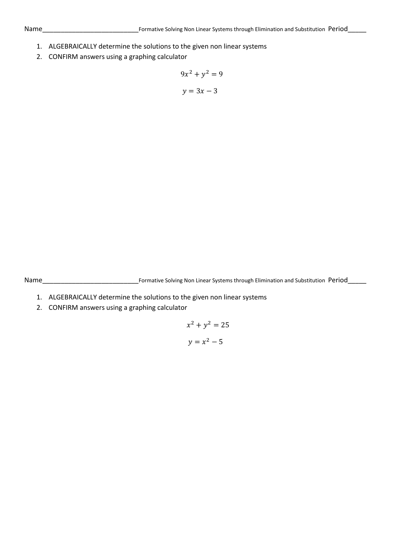- 1. ALGEBRAICALLY determine the solutions to the given non linear systems
- 2. CONFIRM answers using a graphing calculator

$$
9x^2 + y^2 = 9
$$

$$
y = 3x - 3
$$

Name\_\_\_\_\_\_\_\_\_\_\_\_\_\_\_\_\_\_\_\_\_\_\_\_\_\_Formative Solving Non Linear Systems through Elimination and Substitution Period\_\_\_\_\_

- 1. ALGEBRAICALLY determine the solutions to the given non linear systems
- 2. CONFIRM answers using a graphing calculator

$$
x^2 + y^2 = 25
$$

$$
y = x^2 - 5
$$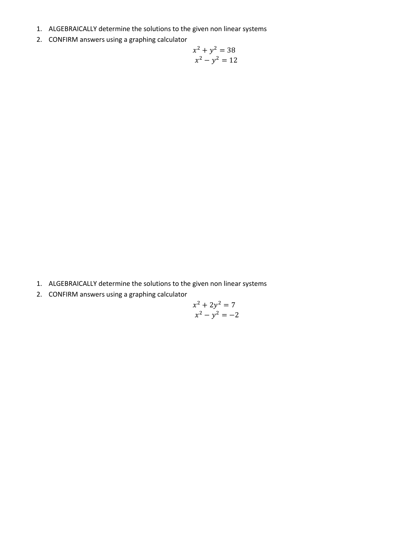- 1. ALGEBRAICALLY determine the solutions to the given non linear systems
- 2. CONFIRM answers using a graphing calculator

$$
x2 + y2 = 38
$$

$$
x2 - y2 = 12
$$

- 1. ALGEBRAICALLY determine the solutions to the given non linear systems
- 2. CONFIRM answers using a graphing calculator

$$
x^2 + 2y^2 = 7
$$
  

$$
x^2 - y^2 = -2
$$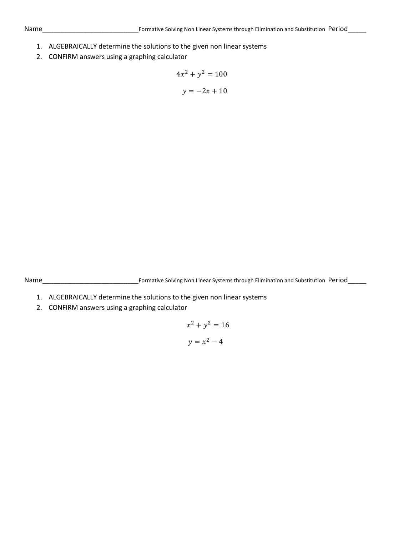- 1. ALGEBRAICALLY determine the solutions to the given non linear systems
- 2. CONFIRM answers using a graphing calculator

$$
4x2 + y2 = 100
$$

$$
y = -2x + 10
$$

Name\_\_\_\_\_\_\_\_\_\_\_\_\_\_\_\_\_\_\_\_\_\_\_\_\_\_Formative Solving Non Linear Systems through Elimination and Substitution Period\_\_\_\_\_

- 1. ALGEBRAICALLY determine the solutions to the given non linear systems
- 2. CONFIRM answers using a graphing calculator

$$
x^2 + y^2 = 16
$$

$$
y = x^2 - 4
$$